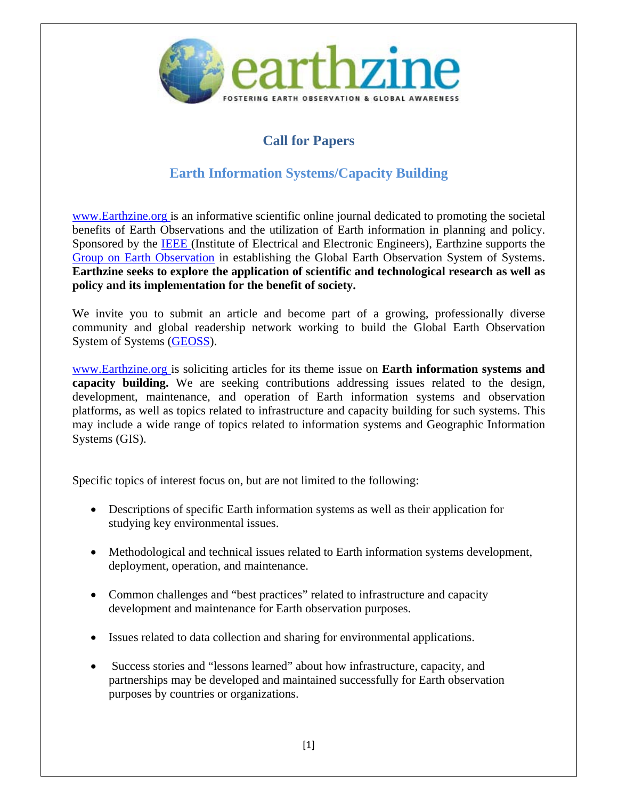

## **Call for Papers**

## **Earth Information Systems/Capacity Building**

www.Earthzine.org is an informative scientific online journal dedicated to promoting the societal benefits of Earth Observations and the utilization of Earth information in planning and policy. Sponsored by the IEEE (Institute of Electrical and Electronic Engineers), Earthzine supports the Group on Earth Observation in establishing the Global Earth Observation System of Systems. **Earthzine seeks to explore the application of scientific and technological research as well as policy and its implementation for the benefit of society.** 

We invite you to submit an article and become part of a growing, professionally diverse community and global readership network working to build the Global Earth Observation System of Systems (GEOSS).

www.Earthzine.org is soliciting articles for its theme issue on **Earth information systems and capacity building.** We are seeking contributions addressing issues related to the design, development, maintenance, and operation of Earth information systems and observation platforms, as well as topics related to infrastructure and capacity building for such systems. This may include a wide range of topics related to information systems and Geographic Information Systems (GIS).

Specific topics of interest focus on, but are not limited to the following:

- Descriptions of specific Earth information systems as well as their application for studying key environmental issues.
- Methodological and technical issues related to Earth information systems development, deployment, operation, and maintenance.
- Common challenges and "best practices" related to infrastructure and capacity development and maintenance for Earth observation purposes.
- Issues related to data collection and sharing for environmental applications.
- Success stories and "lessons learned" about how infrastructure, capacity, and partnerships may be developed and maintained successfully for Earth observation purposes by countries or organizations.